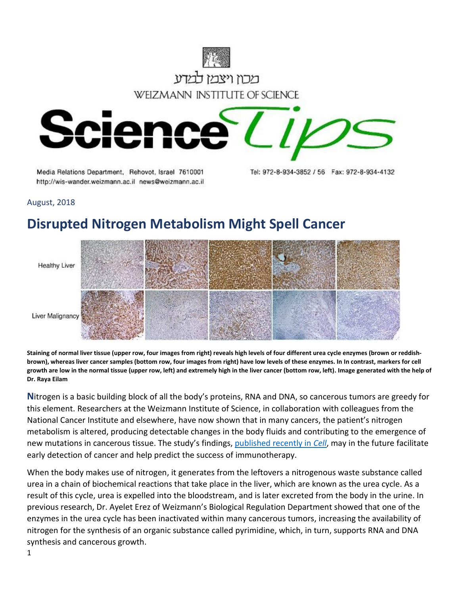

Media Relations Department, Rehovot, Israel 7610001 http://wis-wander.weizmann.ac.il news@weizmann.ac.il Tel: 972-8-934-3852 / 56 Fax: 972-8-934-4132

August, 2018

## **Disrupted Nitrogen Metabolism Might Spell Cancer**



**Staining of normal liver tissue (upper row, four images from right) reveals high levels of four different urea cycle enzymes (brown or reddishbrown), whereas liver cancer samples (bottom row, four images from right) have low levels of these enzymes. In In contrast, markers for cell growth are low in the normal tissue (upper row, left) and extremely high in the liver cancer (bottom row, left). Image generated with the help of Dr. Raya Eilam**

**N**itrogen is a basic building block of all the body's proteins, RNA and DNA, so cancerous tumors are greedy for this element. Researchers at the Weizmann Institute of Science, in collaboration with colleagues from the National Cancer Institute and elsewhere, have now shown that in many cancers, the patient's nitrogen metabolism is altered, producing detectable changes in the body fluids and contributing to the emergence of new mutations in cancerous tissue. The study's findings, [published recently in](https://www.cell.com/cell/fulltext/S0092-8674(18)30913-9) *Cell*, may in the future facilitate early detection of cancer and help predict the success of immunotherapy.

When the body makes use of nitrogen, it generates from the leftovers a nitrogenous waste substance called urea in a chain of biochemical reactions that take place in the liver, which are known as the urea cycle. As a result of this cycle, urea is expelled into the bloodstream, and is later excreted from the body in the urine. In previous research, Dr. Ayelet Erez of Weizmann's Biological Regulation Department showed that one of the enzymes in the urea cycle has been inactivated within many cancerous tumors, increasing the availability of nitrogen for the synthesis of an organic substance called pyrimidine, which, in turn, supports RNA and DNA synthesis and cancerous growth.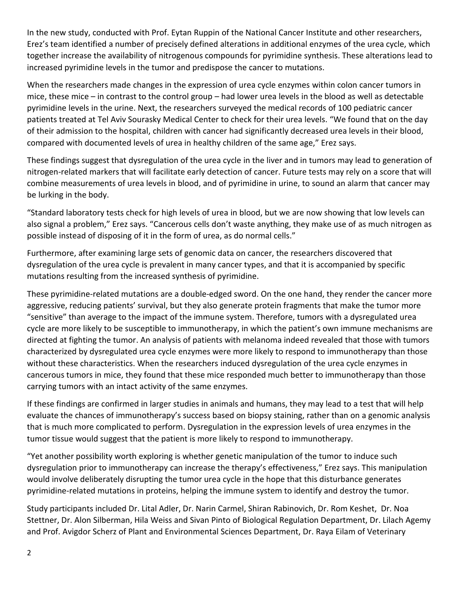In the new study, conducted with Prof. Eytan Ruppin of the National Cancer Institute and other researchers, Erez's team identified a number of precisely defined alterations in additional enzymes of the urea cycle, which together increase the availability of nitrogenous compounds for pyrimidine synthesis. These alterations lead to increased pyrimidine levels in the tumor and predispose the cancer to mutations.

When the researchers made changes in the expression of urea cycle enzymes within colon cancer tumors in mice, these mice – in contrast to the control group – had lower urea levels in the blood as well as detectable pyrimidine levels in the urine. Next, the researchers surveyed the medical records of 100 pediatric cancer patients treated at Tel Aviv Sourasky Medical Center to check for their urea levels. "We found that on the day of their admission to the hospital, children with cancer had significantly decreased urea levels in their blood, compared with documented levels of urea in healthy children of the same age," Erez says.

These findings suggest that dysregulation of the urea cycle in the liver and in tumors may lead to generation of nitrogen-related markers that will facilitate early detection of cancer. Future tests may rely on a score that will combine measurements of urea levels in blood, and of pyrimidine in urine, to sound an alarm that cancer may be lurking in the body.

"Standard laboratory tests check for high levels of urea in blood, but we are now showing that low levels can also signal a problem," Erez says. "Cancerous cells don't waste anything, they make use of as much nitrogen as possible instead of disposing of it in the form of urea, as do normal cells."

Furthermore, after examining large sets of genomic data on cancer, the researchers discovered that dysregulation of the urea cycle is prevalent in many cancer types, and that it is accompanied by specific mutations resulting from the increased synthesis of pyrimidine.

These pyrimidine-related mutations are a double-edged sword. On the one hand, they render the cancer more aggressive, reducing patients' survival, but they also generate protein fragments that make the tumor more "sensitive" than average to the impact of the immune system. Therefore, tumors with a dysregulated urea cycle are more likely to be susceptible to immunotherapy, in which the patient's own immune mechanisms are directed at fighting the tumor. An analysis of patients with melanoma indeed revealed that those with tumors characterized by dysregulated urea cycle enzymes were more likely to respond to immunotherapy than those without these characteristics. When the researchers induced dysregulation of the urea cycle enzymes in cancerous tumors in mice, they found that these mice responded much better to immunotherapy than those carrying tumors with an intact activity of the same enzymes.

If these findings are confirmed in larger studies in animals and humans, they may lead to a test that will help evaluate the chances of immunotherapy's success based on biopsy staining, rather than on a genomic analysis that is much more complicated to perform. Dysregulation in the expression levels of urea enzymes in the tumor tissue would suggest that the patient is more likely to respond to immunotherapy.

"Yet another possibility worth exploring is whether genetic manipulation of the tumor to induce such dysregulation prior to immunotherapy can increase the therapy's effectiveness," Erez says. This manipulation would involve deliberately disrupting the tumor urea cycle in the hope that this disturbance generates pyrimidine-related mutations in proteins, helping the immune system to identify and destroy the tumor.

Study participants included Dr. Lital Adler, Dr. Narin Carmel, Shiran Rabinovich, Dr. Rom Keshet, Dr. Noa Stettner, Dr. Alon Silberman, Hila Weiss and Sivan Pinto of Biological Regulation Department, Dr. Lilach Agemy and Prof. Avigdor Scherz of Plant and Environmental Sciences Department, Dr. Raya Eilam of Veterinary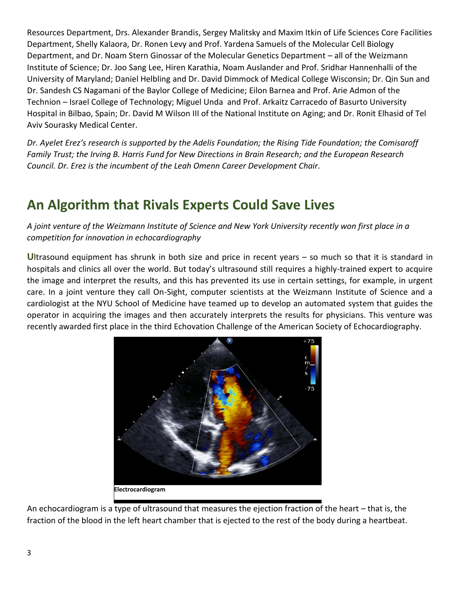Resources Department, Drs. Alexander Brandis, Sergey Malitsky and Maxim Itkin of Life Sciences Core Facilities Department, Shelly Kalaora, Dr. Ronen Levy and Prof. Yardena Samuels of the Molecular Cell Biology Department, and Dr. Noam Stern Ginossar of the Molecular Genetics Department – all of the Weizmann Institute of Science; Dr. Joo Sang Lee, Hiren Karathia, Noam Auslander and Prof. Sridhar Hannenhalli of the University of Maryland; Daniel Helbling and Dr. David Dimmock of Medical College Wisconsin; Dr. Qin Sun and Dr. Sandesh CS Nagamani of the Baylor College of Medicine; Eilon Barnea and Prof. Arie Admon of the Technion – Israel College of Technology; Miguel Unda and Prof. Arkaitz Carracedo of Basurto University Hospital in Bilbao, Spain; Dr. David M Wilson III of the National Institute on Aging; and Dr. Ronit Elhasid of Tel Aviv Sourasky Medical Center.

*Dr. Ayelet Erez's research is supported by the Adelis Foundation; the Rising Tide Foundation; the Comisaroff Family Trust; the Irving B. Harris Fund for New Directions in Brain Research; and the European Research Council. Dr. Erez is the incumbent of the Leah Omenn Career Development Chair.* 

## **An Algorithm that Rivals Experts Could Save Lives**

*A joint venture of the Weizmann Institute of Science and New York University recently won first place in a competition for innovation in echocardiography*

**U**ltrasound equipment has shrunk in both size and price in recent years – so much so that it is standard in hospitals and clinics all over the world. But today's ultrasound still requires a highly-trained expert to acquire the image and interpret the results, and this has prevented its use in certain settings, for example, in urgent care. In a joint venture they call On-Sight, computer scientists at the Weizmann Institute of Science and a cardiologist at the NYU School of Medicine have teamed up to develop an automated system that guides the operator in acquiring the images and then accurately interprets the results for physicians. This venture was recently awarded first place in the third Echovation Challenge of the American Society of Echocardiography.



**Electrocardiogram**

An echocardiogram is a type of ultrasound that measures the ejection fraction of the heart – that is, the fraction of the blood in the left heart chamber that is ejected to the rest of the body during a heartbeat.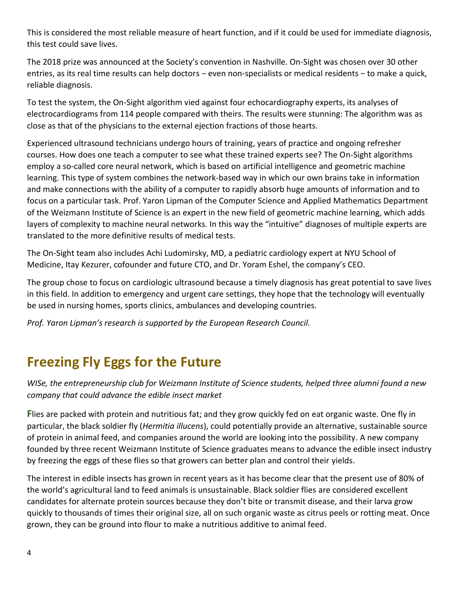This is considered the most reliable measure of heart function, and if it could be used for immediate diagnosis, this test could save lives.

The 2018 prize was announced at the Society's convention in Nashville. On-Sight was chosen over 30 other entries, as its real time results can help doctors − even non-specialists or medical residents – to make a quick, reliable diagnosis.

To test the system, the On-Sight algorithm vied against four echocardiography experts, its analyses of electrocardiograms from 114 people compared with theirs. The results were stunning: The algorithm was as close as that of the physicians to the external ejection fractions of those hearts.

Experienced ultrasound technicians undergo hours of training, years of practice and ongoing refresher courses. How does one teach a computer to see what these trained experts see? The On-Sight algorithms employ a so-called core neural network, which is based on artificial intelligence and geometric machine learning. This type of system combines the network-based way in which our own brains take in information and make connections with the ability of a computer to rapidly absorb huge amounts of information and to focus on a particular task. Prof. Yaron Lipman of the Computer Science and Applied Mathematics Department of the Weizmann Institute of Science is an expert in the new field of geometric machine learning, which adds layers of complexity to machine neural networks. In this way the "intuitive" diagnoses of multiple experts are translated to the more definitive results of medical tests.

The On-Sight team also includes Achi Ludomirsky, MD, a pediatric cardiology expert at NYU School of Medicine, Itay Kezurer, cofounder and future CTO, and Dr. Yoram Eshel, the company's CEO.

The group chose to focus on cardiologic ultrasound because a timely diagnosis has great potential to save lives in this field. In addition to emergency and urgent care settings, they hope that the technology will eventually be used in nursing homes, sports clinics, ambulances and developing countries.

*Prof. Yaron Lipman's research is supported by the European Research Council.*

## **Freezing Fly Eggs for the Future**

*WISe, the entrepreneurship club for Weizmann Institute of Science students, helped three alumni found a new company that could advance the edible insect market* 

**F**lies are packed with protein and nutritious fat; and they grow quickly fed on eat organic waste. One fly in particular, the black soldier fly (*Hermitia illucens*), could potentially provide an alternative, sustainable source of protein in animal feed, and companies around the world are looking into the possibility. A new company founded by three recent Weizmann Institute of Science graduates means to advance the edible insect industry by freezing the eggs of these flies so that growers can better plan and control their yields.

The interest in edible insects has grown in recent years as it has become clear that the present use of 80% of the world's agricultural land to feed animals is unsustainable. Black soldier flies are considered excellent candidates for alternate protein sources because they don't bite or transmit disease, and their larva grow quickly to thousands of times their original size, all on such organic waste as citrus peels or rotting meat. Once grown, they can be ground into flour to make a nutritious additive to animal feed.